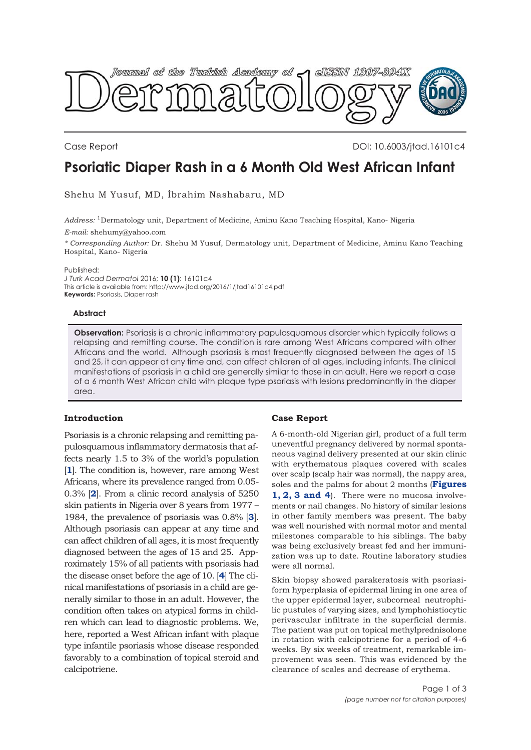

Case Report DOI: 10.6003/jtad.16101c4

# **Psoriatic Diaper Rash in a 6 Month Old West African Infant**

Shehu M Yusuf, MD, İbrahim Nashabaru, MD

*Address:* 1Dermatology unit, Department of Medicine, Aminu Kano Teaching Hospital, Kano- Nigeria

*E-mail:* shehumy@yahoo.com

*\* Corresponding Author:* Dr. Shehu M Yusuf, Dermatology unit, Department of Medicine, Aminu Kano Teaching Hospital, Kano- Nigeria

Published:

*J Turk Acad Dermatol* 2016; **10 (1)**: 16101c4 This article is available from: http://www.jtad.org/2016/1/jtad16101c4.pdf **Keywords:** Psoriasis, Diaper rash

#### **Abstract**

**Observation:** Psoriasis is a chronic inflammatory papulosquamous disorder which typically follows a relapsing and remitting course. The condition is rare among West Africans compared with other Africans and the world. Although psoriasis is most frequently diagnosed between the ages of 15 and 25, it can appear at any time and, can affect children of all ages, including infants. The clinical manifestations of psoriasis in a child are generally similar to those in an adult. Here we report a case of a 6 month West African child with plaque type psoriasis with lesions predominantly in the diaper area.

# **Introduction**

Psoriasis is a chronic relapsing and remitting papulosquamous inflammatory dermatosis that affects nearly 1.5 to 3% of the world's population [**[1](#page-2-0)**]. The condition is, however, rare among West Africans, where its prevalence ranged from 0.05- 0.3% [**[2](#page-2-0)**]. From a clinic record analysis of 5250 skin patients in Nigeria over 8 years from 1977 – 1984, the prevalence of psoriasis was 0.8% [**[3](#page-2-0)**]. Although psoriasis can appear at any time and can affect children of all ages, it is most frequently diagnosed between the ages of 15 and 25. Approximately 15% of all patients with psoriasis had the disease onset before the age of 10. [**[4](#page-2-0)**] The clinical manifestations of psoriasis in a child are generally similar to those in an adult. However, the condition often takes on atypical forms in children which can lead to diagnostic problems. We, here, reported a West African infant with plaque type infantile psoriasis whose disease responded favorably to a combination of topical steroid and calcipotriene.

## **Case Report**

A 6-month-old Nigerian girl, product of a full term uneventful pregnancy delivered by normal spontaneous vaginal delivery presented at our skin clinic with erythematous plaques covered with scales over scalp (scalp hair was normal), the nappy area, [soles and the palms for about 2 months \(](#page-1-0)**Figures 1, [2, 3](#page-1-0) and [4](#page-1-0)**). There were no mucosa involvements or nail changes. No history of similar lesions in other family members was present. The baby was well nourished with normal motor and mental milestones comparable to his siblings. The baby was being exclusively breast fed and her immunization was up to date. Routine laboratory studies were all normal.

Skin biopsy showed parakeratosis with psoriasiform hyperplasia of epidermal lining in one area of the upper epidermal layer, subcorneal neutrophilic pustules of varying sizes, and lymphohistiocytic perivascular infiltrate in the superficial dermis. The patient was put on topical methylprednisolone in rotation with calcipotriene for a period of 4-6 weeks. By six weeks of treatment, remarkable improvement was seen. This was evidenced by the clearance of scales and decrease of erythema.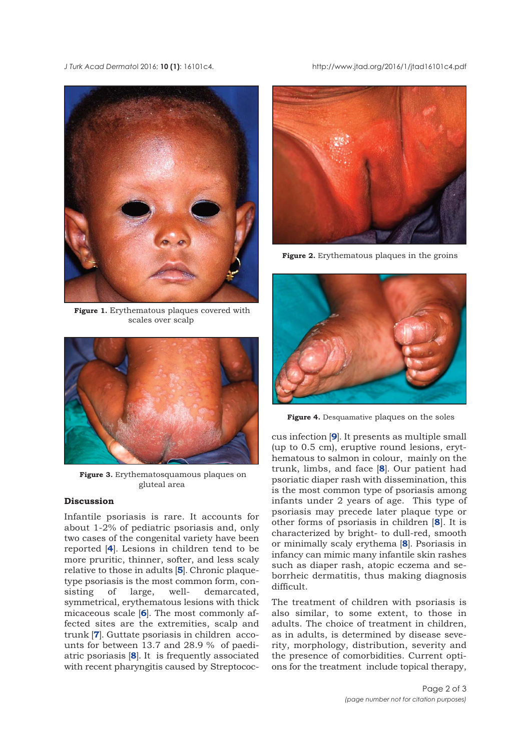#### <span id="page-1-0"></span>*J Turk Acad Dermato*l 2016; **10 (1)**: 16101c4. http://www.jtad.org/2016/1/jtad16101c4.pdf



**Figure 1.** Erythematous plaques covered with scales over scalp



**Figure 3.** Erythematosquamous plaques on gluteal area

# **Discussion**

Infantile psoriasis is rare. It accounts for about 1-2% of pediatric psoriasis and, only two cases of the congenital variety have been reported [**[4](#page-2-0)**]. Lesions in children tend to be more pruritic, thinner, softer, and less scaly relative to those in adults [**[5](#page-2-0)**]. Chronic plaquetype psoriasis is the most common form, consisting of large, well- demarcated, symmetrical, erythematous lesions with thick micaceous scale [**[6](#page-2-0)**]. The most commonly affected sites are the extremities, scalp and trunk [**[7](#page-2-0)**]. Guttate psoriasis in children accounts for between 13.7 and 28.9 % of paediatric psoriasis [**[8](#page-2-0)**]. It is frequently associated with recent pharyngitis caused by Streptococ-



**Figure 2.** Erythematous plaques in the groins



**Figure 4.** Desquamative plaques on the soles

cus infection [**[9](#page-2-0)**]. It presents as multiple small (up to 0.5 cm), eruptive round lesions, erythematous to salmon in colour, mainly on the trunk, limbs, and face [**[8](#page-2-0)**]. Our patient had psoriatic diaper rash with dissemination, this is the most common type of psoriasis among infants under 2 years of age. This type of psoriasis may precede later plaque type or other forms of psoriasis in children [**[8](#page-2-0)**]. It is characterized by bright- to dull-red, smooth or minimally scaly erythema [**[8](#page-2-0)**]. Psoriasis in infancy can mimic many infantile skin rashes such as diaper rash, atopic eczema and seborrheic dermatitis, thus making diagnosis difficult.

The treatment of children with psoriasis is also similar, to some extent, to those in adults. The choice of treatment in children, as in adults, is determined by disease severity, morphology, distribution, severity and the presence of comorbidities. Current options for the treatment include topical therapy,